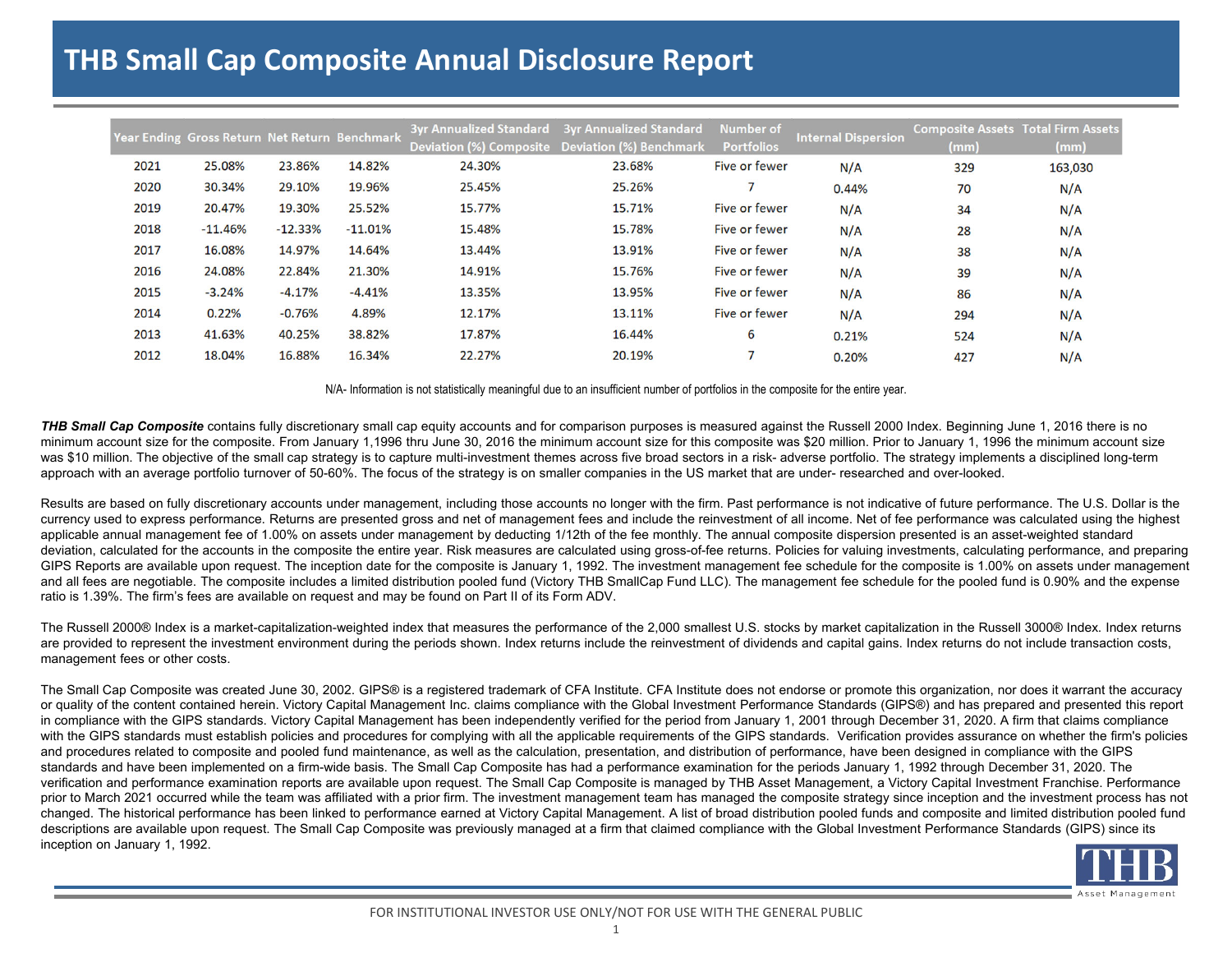## **THB Small Cap Composite Annual Disclosure Report**

|      | Year Ending Gross Return Net Return Benchmark |           |           |        | 3yr Annualized Standard 3yr Annualized Standard | <b>Number of</b>  | <b>Internal Dispersion</b> | <b>Composite Assets Total Firm Assets</b> |         |
|------|-----------------------------------------------|-----------|-----------|--------|-------------------------------------------------|-------------------|----------------------------|-------------------------------------------|---------|
|      |                                               |           |           |        | Deviation (%) Composite Deviation (%) Benchmark | <b>Portfolios</b> |                            | (mm)                                      | (mm)    |
| 2021 | 25.08%                                        | 23.86%    | 14.82%    | 24.30% | 23.68%                                          | Five or fewer     | N/A                        | 329                                       | 163,030 |
| 2020 | 30.34%                                        | 29.10%    | 19.96%    | 25.45% | 25.26%                                          |                   | 0.44%                      | 70                                        | N/A     |
| 2019 | 20.47%                                        | 19.30%    | 25.52%    | 15.77% | 15.71%                                          | Five or fewer     | N/A                        | 34                                        | N/A     |
| 2018 | $-11.46%$                                     | $-12.33%$ | $-11.01%$ | 15.48% | 15.78%                                          | Five or fewer     | N/A                        | 28                                        | N/A     |
| 2017 | 16.08%                                        | 14.97%    | 14.64%    | 13.44% | 13.91%                                          | Five or fewer     | N/A                        | 38                                        | N/A     |
| 2016 | 24.08%                                        | 22.84%    | 21.30%    | 14.91% | 15.76%                                          | Five or fewer     | N/A                        | 39                                        | N/A     |
| 2015 | $-3.24%$                                      | $-4.17%$  | $-4.41%$  | 13.35% | 13.95%                                          | Five or fewer     | N/A                        | 86                                        | N/A     |
| 2014 | 0.22%                                         | $-0.76%$  | 4.89%     | 12.17% | 13.11%                                          | Five or fewer     | N/A                        | 294                                       | N/A     |
| 2013 | 41.63%                                        | 40.25%    | 38.82%    | 17.87% | 16.44%                                          | 6                 | 0.21%                      | 524                                       | N/A     |
| 2012 | 18.04%                                        | 16.88%    | 16.34%    | 22.27% | 20.19%                                          |                   | 0.20%                      | 427                                       | N/A     |

N/A- Information is not statistically meaningful due to an insufficient number of portfolios in the composite for the entire year.

**THB Small Cap Composite** contains fully discretionary small cap equity accounts and for comparison purposes is measured against the Russell 2000 Index. Beginning June 1, 2016 there is no minimum account size for the composite. From January 1,1996 thru June 30, 2016 the minimum account size for this composite was \$20 million. Prior to January 1, 1996 the minimum account size was \$10 million. The objective of the small cap strategy is to capture multi-investment themes across five broad sectors in a risk- adverse portfolio. The strategy implements a disciplined long-term approach with an average portfolio turnover of 50-60%. The focus of the strategy is on smaller companies in the US market that are under- researched and over-looked.

Results are based on fully discretionary accounts under management, including those accounts no longer with the firm. Past performance is not indicative of future performance. The U.S. Dollar is the currency used to express performance. Returns are presented gross and net of management fees and include the reinvestment of all income. Net of fee performance was calculated using the highest applicable annual management fee of 1.00% on assets under management by deducting 1/12th of the fee monthly. The annual composite dispersion presented is an asset-weighted standard deviation, calculated for the accounts in the composite the entire year. Risk measures are calculated using gross-of-fee returns. Policies for valuing investments, calculating performance, and preparing GIPS Reports are available upon request. The inception date for the composite is January 1, 1992. The investment management fee schedule for the composite is 1.00% on assets under management and all fees are negotiable. The composite includes a limited distribution pooled fund (Victory THB SmallCap Fund LLC). The management fee schedule for the pooled fund is 0.90% and the expense ratio is 1.39%. The firm's fees are available on request and may be found on Part II of its Form ADV.

The Russell 2000® Index is a market-capitalization-weighted index that measures the performance of the 2,000 smallest U.S. stocks by market capitalization in the Russell 3000® Index. Index returns are provided to represent the investment environment during the periods shown. Index returns include the reinvestment of dividends and capital gains. Index returns do not include transaction costs, management fees or other costs.

The Small Cap Composite was created June 30, 2002. GIPS® is a registered trademark of CFA Institute. CFA Institute does not endorse or promote this organization, nor does it warrant the accuracy or quality of the content contained herein. Victory Capital Management Inc. claims compliance with the Global Investment Performance Standards (GIPS®) and has prepared and presented this report in compliance with the GIPS standards. Victory Capital Management has been independently verified for the period from January 1, 2001 through December 31, 2020. A firm that claims compliance with the GIPS standards must establish policies and procedures for complying with all the applicable requirements of the GIPS standards. Verification provides assurance on whether the firm's policies and procedures related to composite and pooled fund maintenance, as well as the calculation, presentation, and distribution of performance, have been designed in compliance with the GIPS standards and have been implemented on a firm-wide basis. The Small Cap Composite has had a performance examination for the periods January 1, 1992 through December 31, 2020. The verification and performance examination reports are available upon request. The Small Cap Composite is managed by THB Asset Management, a Victory Capital Investment Franchise. Performance prior to March 2021 occurred while the team was affiliated with a prior firm. The investment management team has managed the composite strategy since inception and the investment process has not changed. The historical performance has been linked to performance earned at Victory Capital Management. A list of broad distribution pooled funds and composite and limited distribution pooled fund descriptions are available upon request. The Small Cap Composite was previously managed at a firm that claimed compliance with the Global Investment Performance Standards (GIPS) since its inception on January 1, 1992.